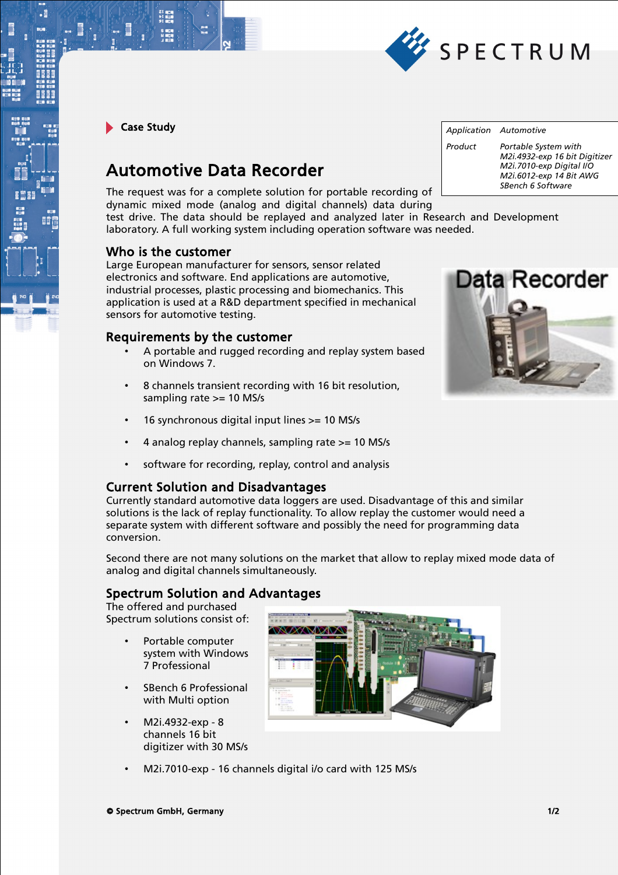

Case Study

 $\cdot$ E

# Automotive Data Recorder

The request was for a complete solution for portable recording of dynamic mixed mode (analog and digital channels) data during test drive. The data should be replayed and analyzed later in Research and Development

laboratory. A full working system including operation software was needed.

### Who is the customer

Large European manufacturer for sensors, sensor related electronics and software. End applications are automotive, industrial processes, plastic processing and biomechanics. This application is used at a R&D department specified in mechanical sensors for automotive testing.

## Requirements by the customer

- A portable and rugged recording and replay system based on Windows 7.
- 8 channels transient recording with 16 bit resolution, sampling rate >= 10 MS/s
- 16 synchronous digital input lines >= 10 MS/s
- 4 analog replay channels, sampling rate >= 10 MS/s
- software for recording, replay, control and analysis

• M2i.7010-exp - 16 channels digital i/o card with 125 MS/s

## Current Solution and Disadvantages

Currently standard automotive data loggers are used. Disadvantage of this and similar solutions is the lack of replay functionality. To allow replay the customer would need a separate system with different software and possibly the need for programming data conversion.

Second there are not many solutions on the market that allow to replay mixed mode data of analog and digital channels simultaneously.

# Spectrum Solution and Advantages

The offered and purchased Spectrum solutions consist of:

- Portable computer system with Windows 7 Professional
- SBench 6 Professional with Multi option
- M2i.4932-exp 8 channels 16 bit digitizer with 30 MS/s



*Application Automotive Product Portable System with M2i.4932-exp 16 bit Digitizer M2i.7010-exp Digital I/O M2i.6012-exp 14 Bit AWG SBench 6 Software*